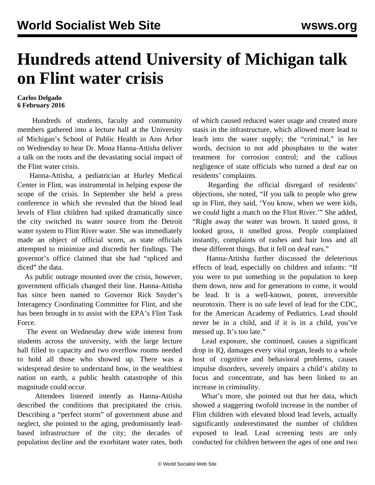## **Hundreds attend University of Michigan talk on Flint water crisis**

## **Carlos Delgado 6 February 2016**

 Hundreds of students, faculty and community members gathered into a lecture hall at the University of Michigan's School of Public Health in Ann Arbor on Wednesday to hear Dr. Mona Hanna-Attisha deliver a talk on the roots and the devastating social impact of the Flint water crisis.

 Hanna-Attisha, a pediatrician at Hurley Medical Center in Flint, was instrumental in helping expose the scope of the crisis. In September she held a press conference in which she revealed that the blood lead levels of Flint children had spiked dramatically since the city switched its water source from the Detroit water system to Flint River water. She was immediately made an object of official scorn, as state officials attempted to minimize and discredit her findings. The governor's office claimed that she had "spliced and diced" the data.

 As public outrage mounted over the crisis, however, government officials changed their line. Hanna-Attisha has since been named to Governor Rick Snyder's Interagency Coordinating Committee for Flint, and she has been brought in to assist with the EPA's Flint Task Force.

 The event on Wednesday drew wide interest from students across the university, with the large lecture hall filled to capacity and two overflow rooms needed to hold all those who showed up. There was a widespread desire to understand how, in the wealthiest nation on earth, a public health catastrophe of this magnitude could occur.

 Attendees listened intently as Hanna-Attisha described the conditions that precipitated the crisis. Describing a "perfect storm" of government abuse and neglect, she pointed to the aging, predominantly leadbased infrastructure of the city; the decades of population decline and the exorbitant water rates, both of which caused reduced water usage and created more stasis in the infrastructure, which allowed more lead to leach into the water supply; the "criminal," in her words, decision to not add phosphates to the water treatment for corrosion control; and the callous negligence of state officials who turned a deaf ear on residents' complaints.

 Regarding the official disregard of residents' objections, she noted, "If you talk to people who grew up in Flint, they said, 'You know, when we were kids, we could light a match on the Flint River.'" She added, "Right away the water was brown. It tasted gross, it looked gross, it smelled gross. People complained instantly, complaints of rashes and hair loss and all these different things. But it fell on deaf ears."

 Hanna-Attisha further discussed the deleterious effects of lead, especially on children and infants: "If you were to put something in the population to keep them down, now and for generations to come, it would be lead. It is a well-known, potent, irreversible neurotoxin. There is no safe level of lead for the CDC, for the American Academy of Pediatrics. Lead should never be in a child, and if it is in a child, you've messed up. It's too late."

 Lead exposure, she continued, causes a significant drop in IQ, damages every vital organ, leads to a whole host of cognitive and behavioral problems, causes impulse disorders, severely impairs a child's ability to focus and concentrate, and has been linked to an increase in criminality.

 What's more, she pointed out that her data, which showed a staggering twofold increase in the number of Flint children with elevated blood lead levels, actually significantly underestimated the number of children exposed to lead. Lead screening tests are only conducted for children between the ages of one and two